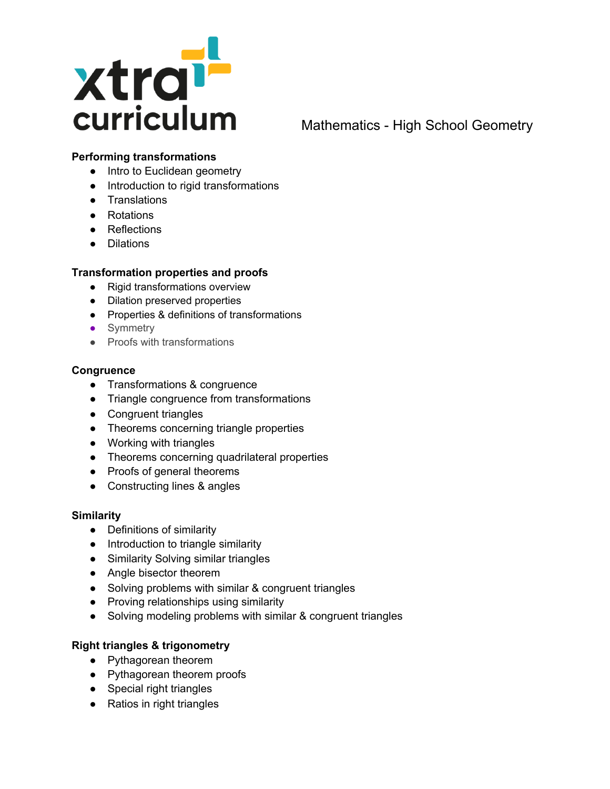

# Mathematics - High School Geometry

## **Performing transformations**

- Intro to Euclidean geometry
- Introduction to rigid transformations
- Translations
- Rotations
- Reflections
- Dilations

## **Transformation properties and proofs**

- Rigid transformations overview
- Dilation preserved properties
- Properties & definitions of transformations
- Symmetry
- Proofs with transformations

### **Congruence**

- Transformations & congruence
- Triangle congruence from transformations
- Congruent triangles
- Theorems concerning triangle properties
- Working with triangles
- Theorems concerning quadrilateral properties
- Proofs of general theorems
- Constructing lines & angles

#### **Similarity**

- Definitions of similarity
- Introduction to triangle similarity
- Similarity Solving similar triangles
- Angle bisector theorem
- Solving problems with similar & congruent triangles
- Proving relationships using similarity
- Solving modeling problems with similar & congruent triangles

## **Right triangles & trigonometry**

- Pythagorean theorem
- Pythagorean theorem proofs
- Special right triangles
- Ratios in right triangles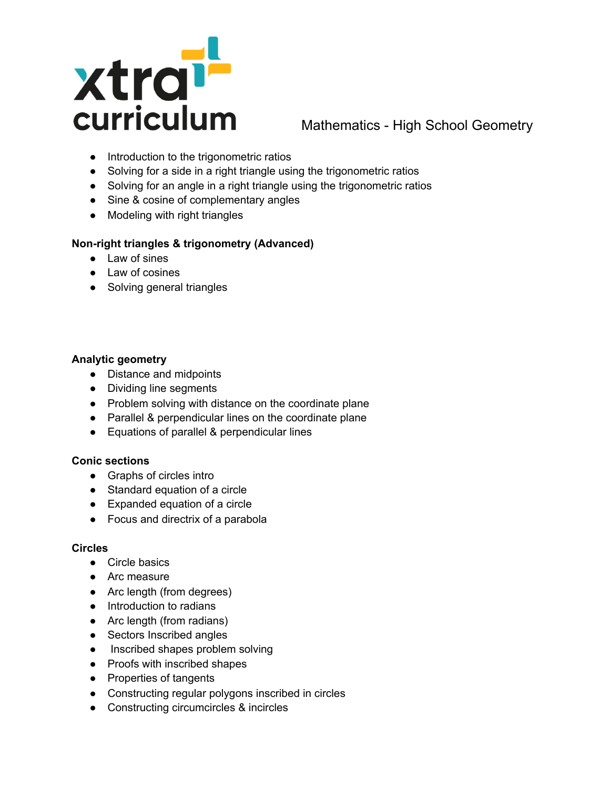

# Mathematics - High School Geometry

- Introduction to the trigonometric ratios
- Solving for a side in a right triangle using the trigonometric ratios
- Solving for an angle in a right triangle using the trigonometric ratios
- Sine & cosine of complementary angles
- Modeling with right triangles

## **Non-right triangles & trigonometry (Advanced)**

- Law of sines
- Law of cosines
- Solving general triangles

## **Analytic geometry**

- Distance and midpoints
- Dividing line segments
- Problem solving with distance on the coordinate plane
- Parallel & perpendicular lines on the coordinate plane
- Equations of parallel & perpendicular lines

#### **Conic sections**

- Graphs of circles intro
- Standard equation of a circle
- Expanded equation of a circle
- Focus and directrix of a parabola

### **Circles**

- Circle basics
- Arc measure
- Arc length (from degrees)
- Introduction to radians
- Arc length (from radians)
- Sectors Inscribed angles
- Inscribed shapes problem solving
- Proofs with inscribed shapes
- Properties of tangents
- Constructing regular polygons inscribed in circles
- Constructing circumcircles & incircles